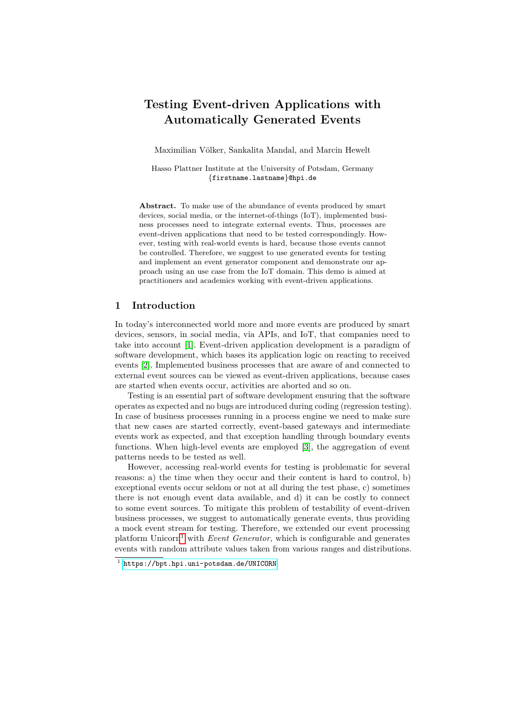# **Testing Event-driven Applications with Automatically Generated Events**

Maximilian Völker, Sankalita Mandal, and Marcin Hewelt

Hasso Plattner Institute at the University of Potsdam, Germany {firstname.lastname}@hpi.de

Abstract. To make use of the abundance of events produced by smart devices, social media, or the internet-of-things (IoT), implemented business processes need to integrate external events. Thus, processes are event-driven applications that need to be tested correspondingly. However, testing with real-world events is hard, because those events cannot be controlled. Therefore, we suggest to use generated events for testing and implement an event generator component and demonstrate our approach using an use case from the IoT domain. This demo is aimed at practitioners and academics working with event-driven applications.

#### **1 Introduction**

In today's interconnected world more and more events are produced by smart devices, sensors, in social media, via APIs, and IoT, that companies need to take into account [\[1\]](#page-4-0). Event-driven application development is a paradigm of software development, which bases its application logic on reacting to received events [\[2\]](#page-4-1). Implemented business processes that are aware of and connected to external event sources can be viewed as event-driven applications, because cases are started when events occur, activities are aborted and so on.

Testing is an essential part of software development ensuring that the software operates as expected and no bugs are introduced during coding (regression testing). In case of business processes running in a process engine we need to make sure that new cases are started correctly, event-based gateways and intermediate events work as expected, and that exception handling through boundary events functions. When high-level events are employed [\[3\]](#page-4-2), the aggregation of event patterns needs to be tested as well.

However, accessing real-world events for testing is problematic for several reasons: a) the time when they occur and their content is hard to control, b) exceptional events occur seldom or not at all during the test phase, c) sometimes there is not enough event data available, and d) it can be costly to connect to some event sources. To mitigate this problem of testability of event-driven business processes, we suggest to automatically generate events, thus providing a mock event stream for testing. Therefore, we extended our event processing platform Unicorn<sup>[1](#page-0-0)</sup> with *Event Generator*, which is configurable and generates events with random attribute values taken from various ranges and distributions.

<span id="page-0-0"></span><sup>1</sup> <https://bpt.hpi.uni-potsdam.de/UNICORN>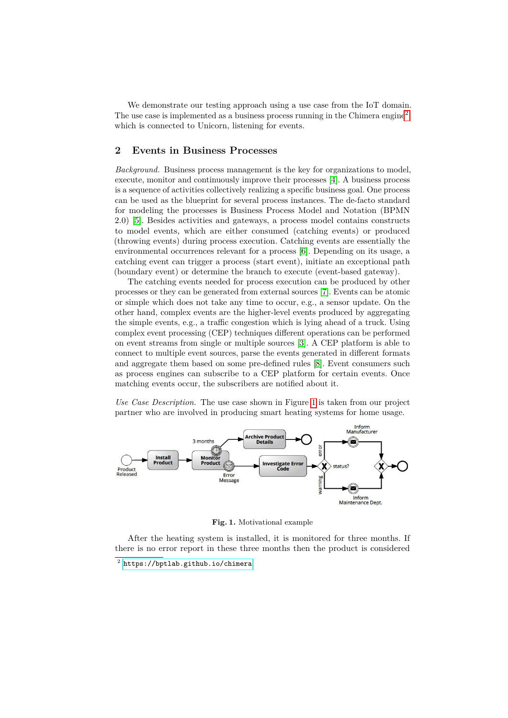We demonstrate our testing approach using a use case from the IoT domain. The use case is implemented as a business process running in the Chimera engine<sup>[2](#page-1-0)</sup>, which is connected to Unicorn, listening for events.

### **2 Events in Business Processes**

*Background.* Business process management is the key for organizations to model, execute, monitor and continuously improve their processes [\[4\]](#page-4-3). A business process is a sequence of activities collectively realizing a specific business goal. One process can be used as the blueprint for several process instances. The de-facto standard for modeling the processes is Business Process Model and Notation (BPMN 2.0) [\[5\]](#page-4-4). Besides activities and gateways, a process model contains constructs to model events, which are either consumed (catching events) or produced (throwing events) during process execution. Catching events are essentially the environmental occurrences relevant for a process [\[6\]](#page-4-5). Depending on its usage, a catching event can trigger a process (start event), initiate an exceptional path (boundary event) or determine the branch to execute (event-based gateway).

The catching events needed for process execution can be produced by other processes or they can be generated from external sources [\[7\]](#page-4-6). Events can be atomic or simple which does not take any time to occur, e.g., a sensor update. On the other hand, complex events are the higher-level events produced by aggregating the simple events, e.g., a traffic congestion which is lying ahead of a truck. Using complex event processing (CEP) techniques different operations can be performed on event streams from single or multiple sources [\[3\]](#page-4-2). A CEP platform is able to connect to multiple event sources, parse the events generated in different formats and aggregate them based on some pre-defined rules [\[8\]](#page-4-7). Event consumers such as process engines can subscribe to a CEP platform for certain events. Once matching events occur, the subscribers are notified about it.

*Use Case Description.* The use case shown in Figure [1](#page-1-1) is taken from our project partner who are involved in producing smart heating systems for home usage.



<span id="page-1-1"></span>**Fig. 1.** Motivational example

After the heating system is installed, it is monitored for three months. If there is no error report in these three months then the product is considered

<span id="page-1-0"></span> $^2$  <https://bptlab.github.io/chimera>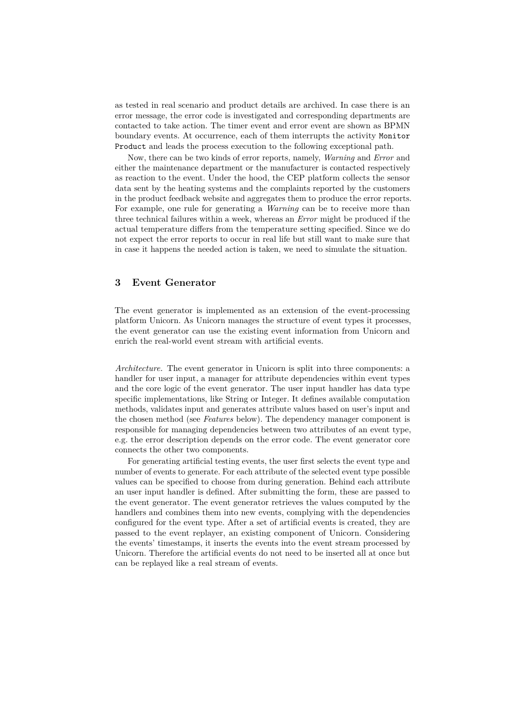as tested in real scenario and product details are archived. In case there is an error message, the error code is investigated and corresponding departments are contacted to take action. The timer event and error event are shown as BPMN boundary events. At occurrence, each of them interrupts the activity Monitor Product and leads the process execution to the following exceptional path.

Now, there can be two kinds of error reports, namely, *Warning* and *Error* and either the maintenance department or the manufacturer is contacted respectively as reaction to the event. Under the hood, the CEP platform collects the sensor data sent by the heating systems and the complaints reported by the customers in the product feedback website and aggregates them to produce the error reports. For example, one rule for generating a *Warning* can be to receive more than three technical failures within a week, whereas an *Error* might be produced if the actual temperature differs from the temperature setting specified. Since we do not expect the error reports to occur in real life but still want to make sure that in case it happens the needed action is taken, we need to simulate the situation.

### **3 Event Generator**

The event generator is implemented as an extension of the event-processing platform Unicorn. As Unicorn manages the structure of event types it processes, the event generator can use the existing event information from Unicorn and enrich the real-world event stream with artificial events.

*Architecture.* The event generator in Unicorn is split into three components: a handler for user input, a manager for attribute dependencies within event types and the core logic of the event generator. The user input handler has data type specific implementations, like String or Integer. It defines available computation methods, validates input and generates attribute values based on user's input and the chosen method (see *Features* below). The dependency manager component is responsible for managing dependencies between two attributes of an event type, e.g. the error description depends on the error code. The event generator core connects the other two components.

For generating artificial testing events, the user first selects the event type and number of events to generate. For each attribute of the selected event type possible values can be specified to choose from during generation. Behind each attribute an user input handler is defined. After submitting the form, these are passed to the event generator. The event generator retrieves the values computed by the handlers and combines them into new events, complying with the dependencies configured for the event type. After a set of artificial events is created, they are passed to the event replayer, an existing component of Unicorn. Considering the events' timestamps, it inserts the events into the event stream processed by Unicorn. Therefore the artificial events do not need to be inserted all at once but can be replayed like a real stream of events.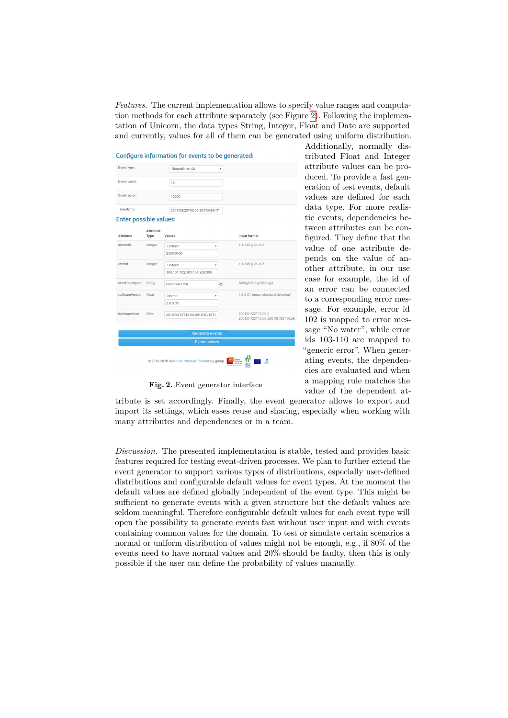*Features.* The current implementation allows to specify value ranges and computation methods for each attribute separately (see Figure [2\)](#page-3-0). Following the implementation of Unicorn, the data types String, Integer, Float and Date are supported and currently, values for all of them can be generated using uniform distribution.



Additionally, normally distributed Float and Integer attribute values can be produced. To provide a fast generation of test events, default values are defined for each data type. For more realistic events, dependencies between attributes can be configured. They define that the value of one attribute depends on the value of another attribute, in our use case for example, the id of an error can be connected to a corresponding error message. For example, error id 102 is mapped to error message "No water", while error ids 103-110 are mapped to "generic error". When generating events, the dependencies are evaluated and when a mapping rule matches the value of the dependent at-

<span id="page-3-0"></span>**Fig. 2.** Event generator interface

tribute is set accordingly. Finally, the event generator allows to export and import its settings, which eases reuse and sharing, especially when working with many attributes and dependencies or in a team.

*Discussion.* The presented implementation is stable, tested and provides basic features required for testing event-driven processes. We plan to further extend the event generator to support various types of distributions, especially user-defined distributions and configurable default values for event types. At the moment the default values are defined globally independent of the event type. This might be sufficient to generate events with a given structure but the default values are seldom meaningful. Therefore configurable default values for each event type will open the possibility to generate events fast without user input and with events containing common values for the domain. To test or simulate certain scenarios a normal or uniform distribution of values might not be enough, e.g., if 80% of the events need to have normal values and 20% should be faulty, then this is only possible if the user can define the probability of values manually.